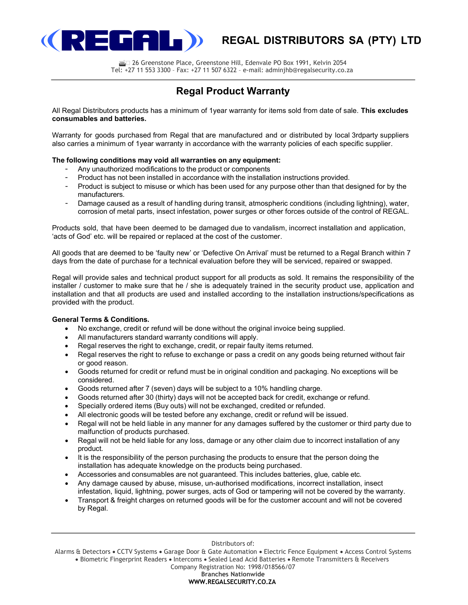

# **(REGAL DISTRIBUTORS SA (PTY) LTD**

**26 Greenstone Place, Greenstone Hill, Edenvale PO Box 1991, Kelvin 2054** Tel: +27 11 553 3300 – Fax: +27 11 507 6322 – e-mail: adminjhb@regalsecurity.co.za

# Regal Product Warranty

All Regal Distributors products has a minimum of 1year warranty for items sold from date of sale. This excludes consumables and batteries.

Warranty for goods purchased from Regal that are manufactured and or distributed by local 3rdparty suppliers also carries a minimum of 1year warranty in accordance with the warranty policies of each specific supplier.

# The following conditions may void all warranties on any equipment:

- Any unauthorized modifications to the product or components
- Product has not been installed in accordance with the installation instructions provided.
- Product is subject to misuse or which has been used for any purpose other than that designed for by the manufacturers.
- Damage caused as a result of handling during transit, atmospheric conditions (including lightning), water, corrosion of metal parts, insect infestation, power surges or other forces outside of the control of REGAL.

Products sold, that have been deemed to be damaged due to vandalism, incorrect installation and application, 'acts of God' etc. will be repaired or replaced at the cost of the customer.

All goods that are deemed to be 'faulty new' or 'Defective On Arrival' must be returned to a Regal Branch within 7 days from the date of purchase for a technical evaluation before they will be serviced, repaired or swapped.

Regal will provide sales and technical product support for all products as sold. It remains the responsibility of the installer / customer to make sure that he / she is adequately trained in the security product use, application and installation and that all products are used and installed according to the installation instructions/specifications as provided with the product.

# General Terms & Conditions.

- No exchange, credit or refund will be done without the original invoice being supplied.
- All manufacturers standard warranty conditions will apply.
- Regal reserves the right to exchange, credit, or repair faulty items returned.
- Regal reserves the right to refuse to exchange or pass a credit on any goods being returned without fair or good reason.
- Goods returned for credit or refund must be in original condition and packaging. No exceptions will be considered.
- Goods returned after 7 (seven) days will be subject to a 10% handling charge.
- Goods returned after 30 (thirty) days will not be accepted back for credit, exchange or refund.
- Specially ordered items (Buy outs) will not be exchanged, credited or refunded.
- All electronic goods will be tested before any exchange, credit or refund will be issued.
- Regal will not be held liable in any manner for any damages suffered by the customer or third party due to malfunction of products purchased.
- Regal will not be held liable for any loss, damage or any other claim due to incorrect installation of any product.
- It is the responsibility of the person purchasing the products to ensure that the person doing the installation has adequate knowledge on the products being purchased.
- Accessories and consumables are not guaranteed. This includes batteries, glue, cable etc.
- Any damage caused by abuse, misuse, un-authorised modifications, incorrect installation, insect infestation, liquid, lightning, power surges, acts of God or tampering will not be covered by the warranty.
- Transport & freight charges on returned goods will be for the customer account and will not be covered by Regal.

Distributors of:

Alarms & Detectors . CCTV Systems . Garage Door & Gate Automation . Electric Fence Equipment . Access Control Systems • Biometric Fingerprint Readers • Intercoms • Sealed Lead Acid Batteries • Remote Transmitters & Receivers

Company Registration No: 1998/018566/07

#### Branches Nationwide

### WWW.REGALSECURITY.CO.ZA